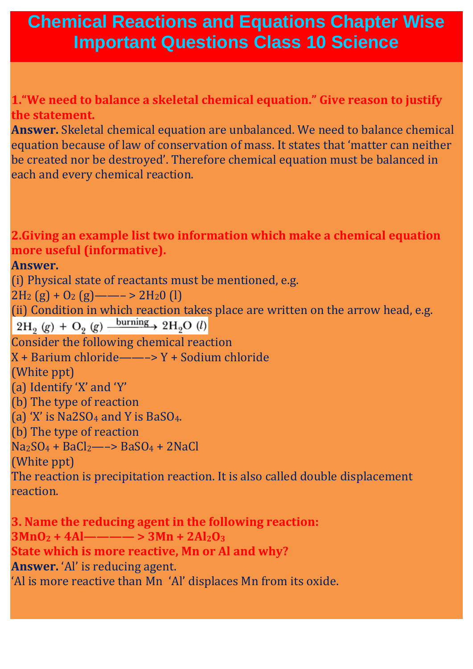## **Chemical Reactions and Equations Chapter Wise Important Questions Class 10 Science**

**1."We need to balance a skeletal chemical equation." Give reason to justify the statement.**

**Answer.** Skeletal chemical equation are unbalanced. We need to balance chemical equation because of law of conservation of mass. It states that 'matter can neither be created nor be destroyed'. Therefore chemical equation must be balanced in each and every chemical reaction.

**2.Giving an example list two information which make a chemical equation more useful (informative).**

**Answer.**

(i) Physical state of reactants must be mentioned, e.g.

 $2H_2(g) + O_2(g)$  —  $\rightarrow$  2H<sub>2</sub>0 (l)

(ii) Condition in which reaction takes place are written on the arrow head, e.g.  $2H_2(g) + O_2(g) \xrightarrow{\text{burning}} 2H_2O(l)$ 

Consider the following chemical reaction

X + Barium chloride——–> Y + Sodium chloride

(White ppt)

(a) Identify 'X' and 'Y'

(b) The type of reaction

(a) 'X' is  $Na2SO_4$  and Y is  $BaSO_4$ .

(b) The type of reaction

 $Na<sub>2</sub>SO<sub>4</sub> + BaCl<sub>2</sub> \longrightarrow BaSO<sub>4</sub> + 2NaCl$ 

(White ppt)

The reaction is precipitation reaction. It is also called double displacement reaction.

**3. Name the reducing agent in the following reaction:**  $3MnO<sub>2</sub> + 4Al$ ———— >  $3Mn + 2Al<sub>2</sub>O<sub>3</sub>$ **State which is more reactive, Mn or Al and why? Answer.** 'Al' is reducing agent. 'Al is more reactive than Mn 'Al' displaces Mn from its oxide.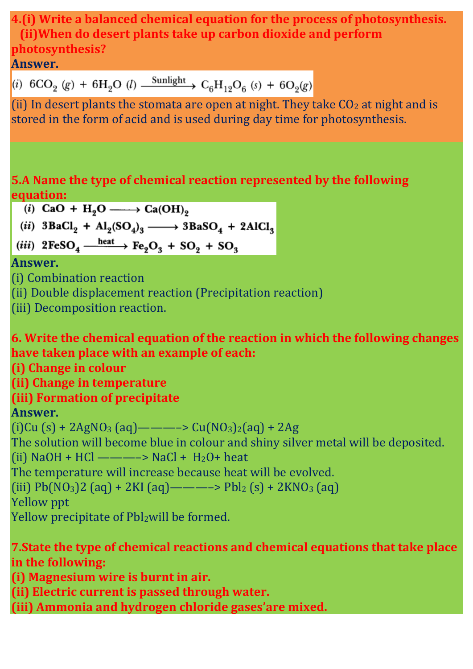**4.(i) Write a balanced chemical equation for the process of photosynthesis. (ii)When do desert plants take up carbon dioxide and perform photosynthesis?**

#### **Answer.**

(i)  $6CO_2$  (g) +  $6H_2O$  (l)  $\xrightarrow{\text{Sunlight}} C_6H_{12}O_6$  (s) +  $6O_2(g)$ 

(ii) In desert plants the stomata are open at night. They take  $CO<sub>2</sub>$  at night and is stored in the form of acid and is used during day time for photosynthesis.

# **5.A Name the type of chemical reaction represented by the following equation:**<br>(*i*) CaO + H<sub>2</sub>O -----> Ca(OH)<sub>2</sub>

(ii)  $3BaCl_2 + Al_2(SO_4)_3 \longrightarrow 3BaSO_4 + 2AlCl_3$ 

(iii)  $2FeSO_4 \xrightarrow{heat} Fe_2O_3 + SO_2 + SO_3$ 

#### **Answer.**

(i) Combination reaction

(ii) Double displacement reaction (Precipitation reaction)

(iii) Decomposition reaction.

#### **6. Write the chemical equation of the reaction in which the following changes have taken place with an example of each:**

**(i) Change in colour**

**(ii) Change in temperature**

### **(iii) Formation of precipitate**

### **Answer.**

 $(i)$ Cu  $(s)$  + 2AgNO<sub>3</sub> (aq) — — — > Cu(NO<sub>3</sub>)<sub>2</sub>(aq) + 2Ag The solution will become blue in colour and shiny silver metal will be deposited. (ii)  $NaOH + HCl$  —————>  $NaCl + H<sub>2</sub>O + heat$ The temperature will increase because heat will be evolved. (iii)  $Pb(NO<sub>3</sub>)2$  (aq) + 2KI (aq) — — — >  $Pbl<sub>2</sub>$  (s) + 2KNO<sub>3</sub> (aq) Yellow ppt Yellow precipitate of Pbl<sub>2</sub>will be formed.

#### **7.State the type of chemical reactions and chemical equations that take place in the following:**

**(i) Magnesium wire is burnt in air.**

**(ii) Electric current is passed through water.**

**(iii) Ammonia and hydrogen chloride gases'are mixed.**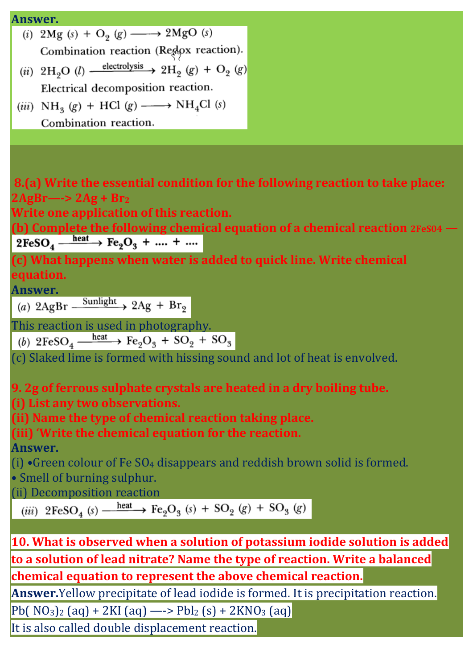# **Answer.**<br>(i)  $2\text{Mg}(s) + \text{O}_2(g) \longrightarrow 2\text{MgO}(s)$ Combination reaction (Redox reaction). (ii) 2H<sub>2</sub>O (l)  $\xrightarrow{\text{electrolysis}} 2H_2$  (g) + O<sub>2</sub> (g) Electrical decomposition reaction. (iii)  $NH_3(g) + HCl(g) \longrightarrow NH_4Cl(s)$ Combination reaction.

**8.(a) Write the essential condition for the following reaction to take place: 2AgBr—-> 2Ag + Br<sup>2</sup>**

**Write one application of this reaction.**

**(b) Complete the following chemical equation of a chemical reaction**  $2FeSO_4 \xrightarrow{heat} Fe_2O_3 + \dots + \dots$ 

**(c) What happens when water is added to quick line. Write chemical equation.**

Answer.<br>
(a)  $2\text{AgBr} \xrightarrow{\text{Sunlight}} 2\text{Ag} + \text{Br}_9$ 

This reaction is used in photography.<br>
(b)  $2FeSO_4 \xrightarrow{heat} Fe_2O_3 + SO_2 + SO_3$ 

(c) Slaked lime is formed with hissing sound and lot of heat is envolved.

**9. 2g of ferrous sulphate crystals are heated in a dry boiling tube.**

**(i) List any two observations.**

**(ii) Name the type of chemical reaction taking place.**

**(iii) 'Write the chemical equation for the reaction.**

**Answer.**

(i)  $\cdot$ Green colour of Fe SO<sub>4</sub> disappears and reddish brown solid is formed.

• Smell of burning sulphur.

(ii) Decomposition reaction<br>
(iii)  $2FeSO_4(s) \xrightarrow{heat} Fe_2O_3(s) + SO_2(g) + SO_3(g)$ 

**10. What is observed when a solution of potassium iodide solution is added to a solution of lead nitrate? Name the type of reaction. Write a balanced chemical equation to represent the above chemical reaction.**

**Answer.**Yellow precipitate of lead iodide is formed. It is precipitation reaction.

 $Pb(NO_3)_2$  (aq) + 2KI (aq) —->  $Pbl_2$  (s) + 2KNO<sub>3</sub> (aq)

It is also called double displacement reaction.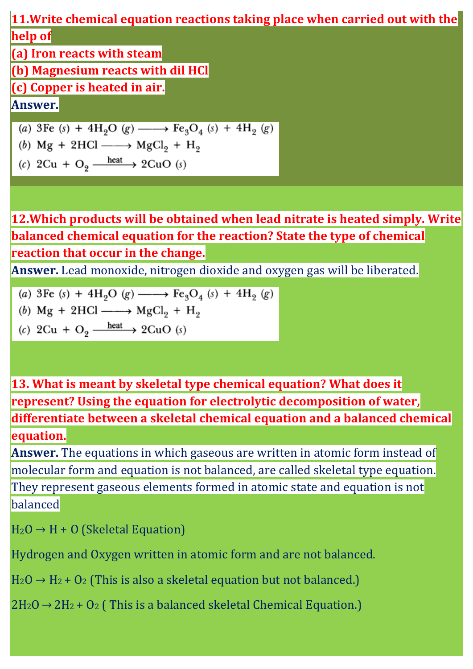**11.Write chemical equation reactions taking place when carried out with the help of**

**(a) Iron reacts with steam**

**(b) Magnesium reacts with dil HCl**

**(c) Copper is heated in air.**

**Answer.**

(a) 3Fe (s) + 4H<sub>2</sub>O (g)  $\longrightarrow$  Fe<sub>3</sub>O<sub>4</sub> (s) + 4H<sub>2</sub> (g)

- (b)  $Mg + 2HCl \longrightarrow MgCl_2 + H_2$
- (c) 2Cu + O<sub>2</sub>  $\frac{\text{heat}}{\text{heat}}$  2CuO (s)

**12.Which products will be obtained when lead nitrate is heated simply. Write balanced chemical equation for the reaction? State the type of chemical reaction that occur in the change.**

**Answer.** Lead monoxide, nitrogen dioxide and oxygen gas will be liberated.

(a) 3Fe (s) + 4H<sub>2</sub>O (g) 
$$
\longrightarrow
$$
 Fe<sub>3</sub>O<sub>4</sub> (s) + 4H<sub>2</sub> (g)

(b) Mg + 2HCl 
$$
\longrightarrow
$$
 MgCl<sub>2</sub> + H<sub>2</sub>

(c) 
$$
2Cu + O_2 \xrightarrow{\text{heat}} 2CuO(s)
$$

**13. What is meant by skeletal type chemical equation? What does it represent? Using the equation for electrolytic decomposition of water, differentiate between a skeletal chemical equation and a balanced chemical equation.**

**Answer.** The equations in which gaseous are written in atomic form instead of molecular form and equation is not balanced, are called skeletal type equation. They represent gaseous elements formed in atomic state and equation is not balanced

 $H_2O \rightarrow H + O$  (Skeletal Equation)

Hydrogen and Oxygen written in atomic form and are not balanced.

 $H_2O \rightarrow H_2 + O_2$  (This is also a skeletal equation but not balanced.)

 $2H_2O \rightarrow 2H_2 + O_2$  (This is a balanced skeletal Chemical Equation.)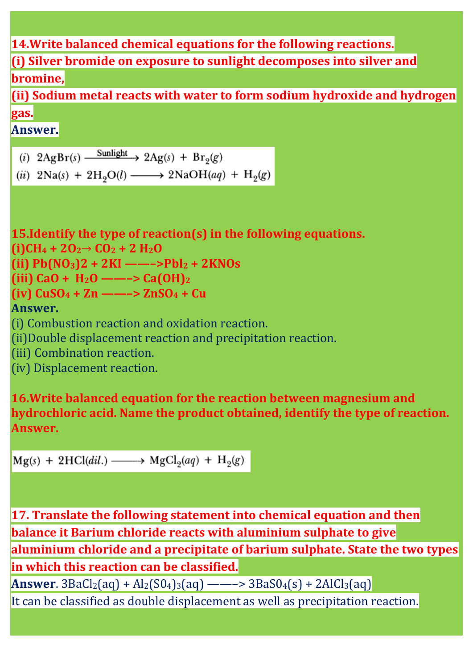#### **14.Write balanced chemical equations for the following reactions.**

**(i) Silver bromide on exposure to sunlight decomposes into silver and bromine,**

**(ii) Sodium metal reacts with water to form sodium hydroxide and hydrogen gas.**

**Answer.**

- (i)  $2\text{AgBr}(s)$   $\xrightarrow{\text{Sunlight}} 2\text{Ag}(s) + \text{Br}_2(g)$
- (ii)  $2Na(s) + 2H_2O(l) \longrightarrow 2NaOH(aq) + H_2(g)$

**15.Identify the type of reaction(s) in the following equations. (i)CH<sup>4</sup> + 2O<sup>2</sup> CO<sup>2</sup> + 2 H2O (ii) Pb(NO3)2 + 2KI ——–>Pbl<sup>2</sup> + 2KNOs (iii) CaO + H2O ——–> Ca(OH)<sup>2</sup> (iv) CuSO<sup>4</sup> + Zn ——–> ZnSO<sup>4</sup> + Cu Answer.** (i) Combustion reaction and oxidation reaction. (ii)Double displacement reaction and precipitation reaction. (iii) Combination reaction. (iv) Displacement reaction.

**16.Write balanced equation for the reaction between magnesium and hydrochloric acid. Name the product obtained, identify the type of reaction. Answer.**

 $Mg(s) + 2HCl(*dil*.) \longrightarrow MgCl<sub>2</sub>(*aq*) + H<sub>2</sub>(*g*)$ 

**17. Translate the following statement into chemical equation and then balance it Barium chloride reacts with aluminium sulphate to give aluminium chloride and a precipitate of barium sulphate. State the two types in which this reaction can be classified.**

**Answer**.  $3BaCl<sub>2</sub>(aq) + Al<sub>2</sub>(SO<sub>4</sub>)<sub>3</sub>(aq) — —->  $3BaSO<sub>4</sub>(s) + 2AlCl<sub>3</sub>(aq)$$ It can be classified as double displacement as well as precipitation reaction.